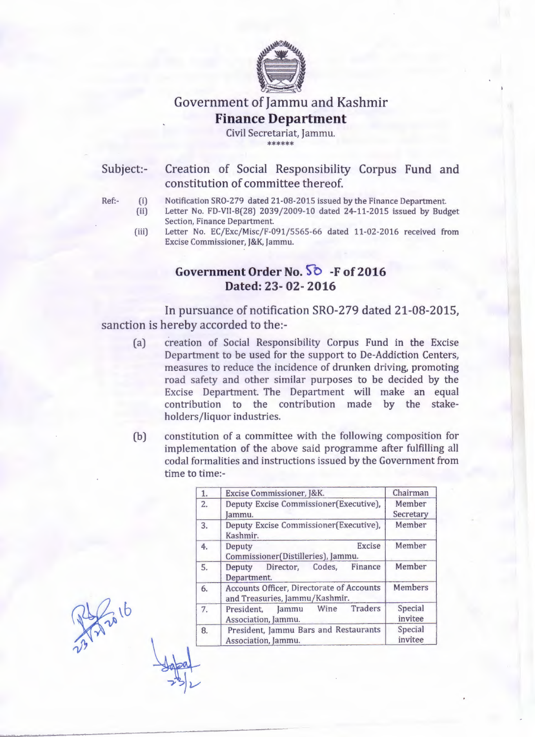

# Government of Jammu and Kashmir **Finance Department**

Civil Secretariat, Jammu. \*\*\*\*\*\*\*\*

Subject:-

### Creation of Social Responsibility Corpus Fund and constitution of committee thereof.

- Ref:- (i)
- (ii) Notification SR0-279 dated 21-08-2015 issued by the Finance Department. Letter No. FD-VII-8(28) 2039/2009-10 dated 24-11-2015 issued by Budget Section, Finance Department.
	- (iii) Letter No. EC/Exc/Misc/F-091/5565-66 dated 11-02-2016 received from Excise Commissioner, J&K, Jammu.

## Government Order No.  $50 - F$  of 2016 **Dated:** 23- **02- 2016**

In pursuance of notification SR0-279 dated 21-08-2015, sanction is hereby accorded to the:-

- (a) creation of Social Responsibility Corpus Fund in the Excise Department to be used for the support to De-Addiction Centers, measures to reduce the incidence of drunken driving, promoting road safety and other similar purposes to be decided by the Excise Department. The Department will make an equal contribution to the contribution made by the stakeholders/liquor industries.
- (b) constitution of a committee with the following composition for implementation of the above said programme after fulfilling all codal formalities and instructions issued by the Government from time to time:-

| 1. | Excise Commissioner, J&K.                                                          | Chairman            |
|----|------------------------------------------------------------------------------------|---------------------|
| 2. | Deputy Excise Commissioner(Executive),<br>Jammu.                                   | Member<br>Secretary |
| 3. | Deputy Excise Commissioner(Executive),<br>Kashmir.                                 | Member              |
| 4. | <b>Excise</b><br>Deputy<br>Commissioner(Distilleries), Jammu.                      | Member              |
| 5. | Director, Codes, Finance<br>Deputy<br>Department.                                  | Member              |
| 6. | <b>Accounts Officer, Directorate of Accounts</b><br>and Treasuries, Jammu/Kashmir. | <b>Members</b>      |
| 7. | <b>Traders</b><br>President, Jammu Wine<br>Association, Jammu.                     | Special<br>invitee  |
| 8. | President, Jammu Bars and Restaurants<br>Association, Jammu.                       | Special<br>invitee  |